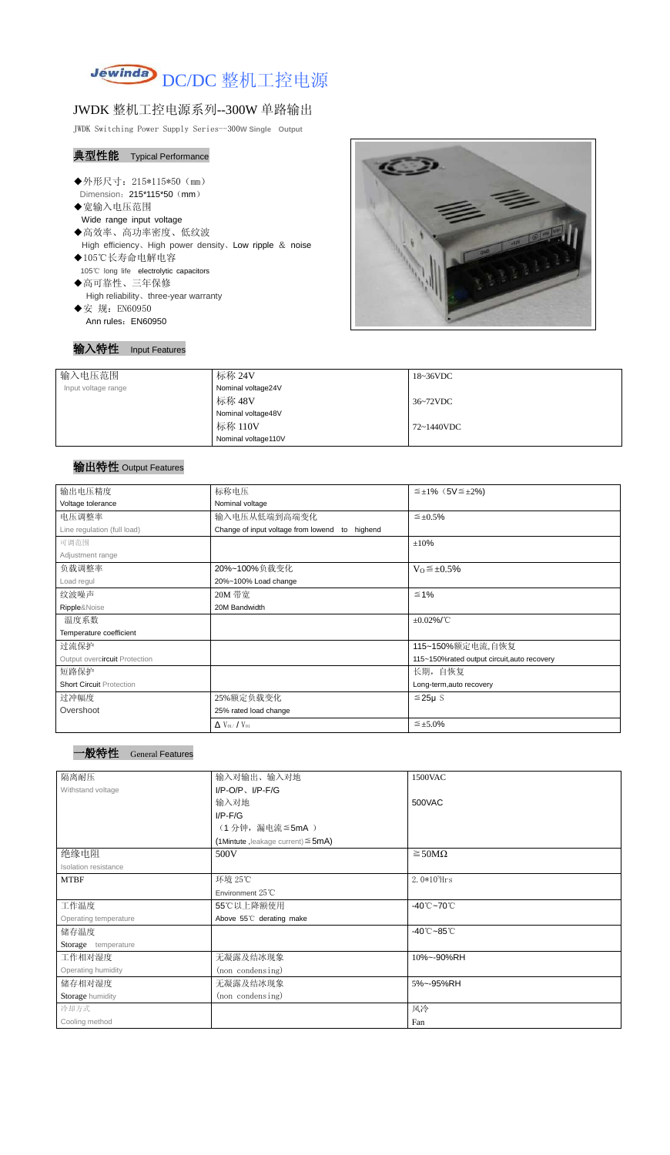

## JWDK 整机工控电源系列--300W 单路输出

JWDK Switching Power Supply Series--300**W Single Output**

## 典型性能 Typical Performance

- ◆外形尺寸: 215\*115\*50 (mm) Dimension: 215\*115\*50 (mm)
- ◆宽输入电压范围
	- Wide range input voltage
- ◆高效率、高功率密度、低纹波 High efficiency、High power density、Low ripple & noise
- ◆105℃长寿命电解电容 105℃ long life electrolytic capacitors
- ◆高可靠性、三年保修 High reliability、three-year warranty
- ◆安 规: EN60950 Ann rules: EN60950

## 输入特性 Input Features



| 输入电压范围              | 标称 24V              | 18~36VDC   |
|---------------------|---------------------|------------|
| Input voltage range | Nominal voltage24V  |            |
|                     | 标称 48V              | 36~72VDC   |
|                     | Nominal voltage48V  |            |
|                     | 标称 110V             | 72~1440VDC |
|                     | Nominal voltage110V |            |

## 输出特性 Output Features



| 输出电压精度                          | 标称电压                                              | $\leq \pm 1\%$ (5V $\leq \pm 2\%$ ) |  |
|---------------------------------|---------------------------------------------------|-------------------------------------|--|
| Voltage tolerance               | Nominal voltage                                   |                                     |  |
| 电压调整率                           | 输入电压从低端到高端变化                                      | $\leq \pm 0.5\%$                    |  |
| Line regulation (full load)     | Change of input voltage from lowend<br>to highend |                                     |  |
| 可调范围                            |                                                   | $\pm 10\%$                          |  |
| Adjustment range                |                                                   |                                     |  |
| 负载调整率                           | 20%~100%负载变化                                      | $V_0 \leq \pm 0.5\%$                |  |
| Load regul                      | 20%~100% Load change                              |                                     |  |
| 纹波噪声                            | 20M 带宽                                            | $\leq 1\%$                          |  |
| Ripple&Noise                    | 20M Bandwidth                                     |                                     |  |
| 温度系数                            |                                                   | $\pm 0.02\%$ /°C                    |  |
| Temperature coefficient         |                                                   |                                     |  |
| 过流保护                            |                                                   | 115~150%额定电流,自恢复                    |  |
| Output overcircuit Protection   | 115~150%rated output circuit, auto recovery       |                                     |  |
| 短路保护                            |                                                   | 长期, 自恢复                             |  |
| <b>Short Circuit Protection</b> |                                                   | Long-term, auto recovery            |  |
| 过冲幅度                            | 25%额定负载变化                                         | $≤25\mu$ S                          |  |
| Overshoot                       | 25% rated load change                             |                                     |  |
|                                 | $\Delta$ V <sub>01</sub> /V <sub>01</sub>         | $\leq \pm 5.0\%$                    |  |

| 隔离耐压                  | 输入对输出、输入对地<br>1500VAC                   |                                     |  |  |
|-----------------------|-----------------------------------------|-------------------------------------|--|--|
| Withstand voltage     | $I/P$ -O/P, $I/P$ -F/G                  |                                     |  |  |
|                       | 输入对地                                    | 500VAC                              |  |  |
|                       | $I/P-F/G$                               |                                     |  |  |
|                       | (1分钟,漏电流≦5mA)                           |                                     |  |  |
|                       | (1Mintute, leakage current) $\leq$ 5mA) |                                     |  |  |
| 绝缘电阻                  | 500V<br>$\geq$ 50M $\Omega$             |                                     |  |  |
| Isolation resistance  |                                         |                                     |  |  |
| <b>MTBF</b>           | 环境 25℃                                  | $2.0*105$ Hrs                       |  |  |
|                       | Environment 25°C                        |                                     |  |  |
| 工作温度                  | 55℃以上降额使用                               | -40 $^\circ$ C $\sim$ 70 $^\circ$ C |  |  |
| Operating temperature | Above 55°C derating make                |                                     |  |  |
| 储存温度                  |                                         | $-40^{\circ}$ C $-85^{\circ}$ C     |  |  |
| Storage temperature   |                                         |                                     |  |  |
| 工作相对湿度                | 无凝露及结冰现象                                | 10%~-90%RH                          |  |  |
| Operating humidity    | (non condensing)                        |                                     |  |  |
| 储存相对湿度                | 无凝露及结冰现象                                | 5%~-95%RH                           |  |  |
| Storage humidity      | (non condensing)                        |                                     |  |  |
| 冷却方式                  |                                         | 风冷                                  |  |  |
| Cooling method        |                                         | Fan                                 |  |  |